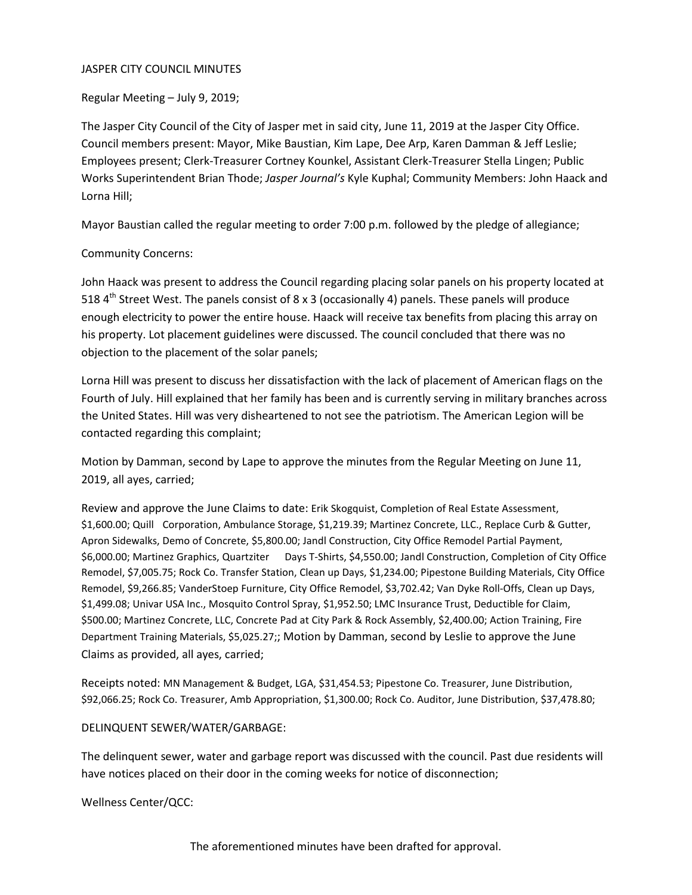### JASPER CITY COUNCIL MINUTES

Regular Meeting – July 9, 2019;

The Jasper City Council of the City of Jasper met in said city, June 11, 2019 at the Jasper City Office. Council members present: Mayor, Mike Baustian, Kim Lape, Dee Arp, Karen Damman & Jeff Leslie; Employees present; Clerk-Treasurer Cortney Kounkel, Assistant Clerk-Treasurer Stella Lingen; Public Works Superintendent Brian Thode; *Jasper Journal's* Kyle Kuphal; Community Members: John Haack and Lorna Hill;

Mayor Baustian called the regular meeting to order 7:00 p.m. followed by the pledge of allegiance;

# Community Concerns:

John Haack was present to address the Council regarding placing solar panels on his property located at 518  $4<sup>th</sup>$  Street West. The panels consist of 8 x 3 (occasionally 4) panels. These panels will produce enough electricity to power the entire house. Haack will receive tax benefits from placing this array on his property. Lot placement guidelines were discussed. The council concluded that there was no objection to the placement of the solar panels;

Lorna Hill was present to discuss her dissatisfaction with the lack of placement of American flags on the Fourth of July. Hill explained that her family has been and is currently serving in military branches across the United States. Hill was very disheartened to not see the patriotism. The American Legion will be contacted regarding this complaint;

Motion by Damman, second by Lape to approve the minutes from the Regular Meeting on June 11, 2019, all ayes, carried;

Review and approve the June Claims to date: Erik Skogquist, Completion of Real Estate Assessment, \$1,600.00; Quill Corporation, Ambulance Storage, \$1,219.39; Martinez Concrete, LLC., Replace Curb & Gutter, Apron Sidewalks, Demo of Concrete, \$5,800.00; Jandl Construction, City Office Remodel Partial Payment, \$6,000.00; Martinez Graphics, Quartziter Days T-Shirts, \$4,550.00; Jandl Construction, Completion of City Office Remodel, \$7,005.75; Rock Co. Transfer Station, Clean up Days, \$1,234.00; Pipestone Building Materials, City Office Remodel, \$9,266.85; VanderStoep Furniture, City Office Remodel, \$3,702.42; Van Dyke Roll-Offs, Clean up Days, \$1,499.08; Univar USA Inc., Mosquito Control Spray, \$1,952.50; LMC Insurance Trust, Deductible for Claim, \$500.00; Martinez Concrete, LLC, Concrete Pad at City Park & Rock Assembly, \$2,400.00; Action Training, Fire Department Training Materials, \$5,025.27;; Motion by Damman, second by Leslie to approve the June Claims as provided, all ayes, carried;

Receipts noted: MN Management & Budget, LGA, \$31,454.53; Pipestone Co. Treasurer, June Distribution, \$92,066.25; Rock Co. Treasurer, Amb Appropriation, \$1,300.00; Rock Co. Auditor, June Distribution, \$37,478.80;

# DELINQUENT SEWER/WATER/GARBAGE:

The delinquent sewer, water and garbage report was discussed with the council. Past due residents will have notices placed on their door in the coming weeks for notice of disconnection;

Wellness Center/QCC: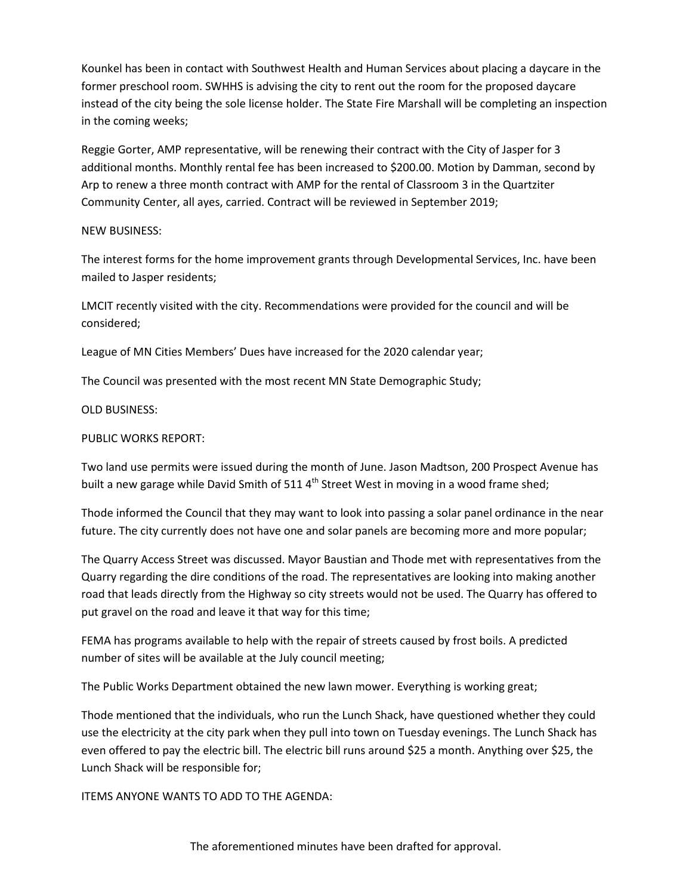Kounkel has been in contact with Southwest Health and Human Services about placing a daycare in the former preschool room. SWHHS is advising the city to rent out the room for the proposed daycare instead of the city being the sole license holder. The State Fire Marshall will be completing an inspection in the coming weeks;

Reggie Gorter, AMP representative, will be renewing their contract with the City of Jasper for 3 additional months. Monthly rental fee has been increased to \$200.00. Motion by Damman, second by Arp to renew a three month contract with AMP for the rental of Classroom 3 in the Quartziter Community Center, all ayes, carried. Contract will be reviewed in September 2019;

## NEW BUSINESS:

The interest forms for the home improvement grants through Developmental Services, Inc. have been mailed to Jasper residents;

LMCIT recently visited with the city. Recommendations were provided for the council and will be considered;

League of MN Cities Members' Dues have increased for the 2020 calendar year;

The Council was presented with the most recent MN State Demographic Study;

# OLD BUSINESS:

# PUBLIC WORKS REPORT:

Two land use permits were issued during the month of June. Jason Madtson, 200 Prospect Avenue has built a new garage while David Smith of 511  $4<sup>th</sup>$  Street West in moving in a wood frame shed;

Thode informed the Council that they may want to look into passing a solar panel ordinance in the near future. The city currently does not have one and solar panels are becoming more and more popular;

The Quarry Access Street was discussed. Mayor Baustian and Thode met with representatives from the Quarry regarding the dire conditions of the road. The representatives are looking into making another road that leads directly from the Highway so city streets would not be used. The Quarry has offered to put gravel on the road and leave it that way for this time;

FEMA has programs available to help with the repair of streets caused by frost boils. A predicted number of sites will be available at the July council meeting;

The Public Works Department obtained the new lawn mower. Everything is working great;

Thode mentioned that the individuals, who run the Lunch Shack, have questioned whether they could use the electricity at the city park when they pull into town on Tuesday evenings. The Lunch Shack has even offered to pay the electric bill. The electric bill runs around \$25 a month. Anything over \$25, the Lunch Shack will be responsible for;

ITEMS ANYONE WANTS TO ADD TO THE AGENDA: